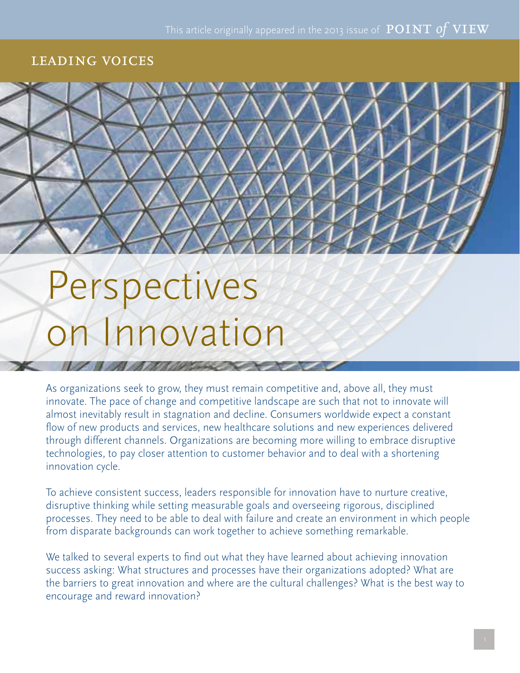#### leading voices



# Perspectives on Innovation

As organizations seek to grow, they must remain competitive and, above all, they must innovate. The pace of change and competitive landscape are such that not to innovate will almost inevitably result in stagnation and decline. Consumers worldwide expect a constant flow of new products and services, new healthcare solutions and new experiences delivered through different channels. Organizations are becoming more willing to embrace disruptive technologies, to pay closer attention to customer behavior and to deal with a shortening innovation cycle.

To achieve consistent success, leaders responsible for innovation have to nurture creative, disruptive thinking while setting measurable goals and overseeing rigorous, disciplined processes. They need to be able to deal with failure and create an environment in which people from disparate backgrounds can work together to achieve something remarkable.

We talked to several experts to find out what they have learned about achieving innovation success asking: What structures and processes have their organizations adopted? What are the barriers to great innovation and where are the cultural challenges? What is the best way to encourage and reward innovation?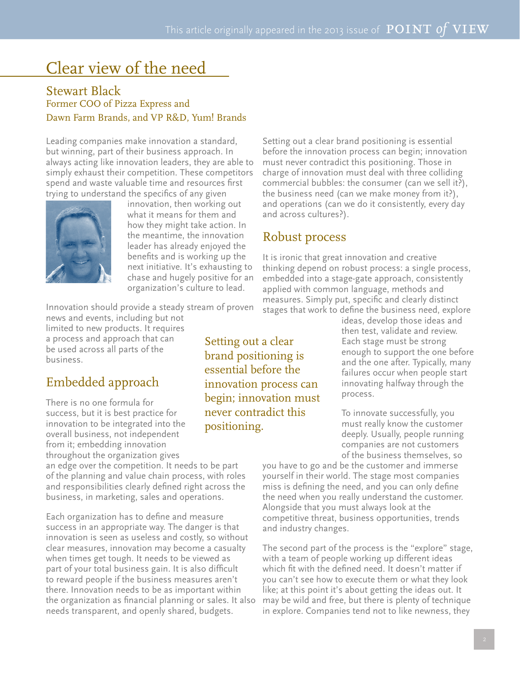# Clear view of the need

#### Stewart Black Former COO of Pizza Express and Dawn Farm Brands, and VP R&D, Yum! Brands

Leading companies make innovation a standard, but winning, part of their business approach. In always acting like innovation leaders, they are able to simply exhaust their competition. These competitors spend and waste valuable time and resources first trying to understand the specifics of any given



innovation, then working out what it means for them and how they might take action. In the meantime, the innovation leader has already enjoyed the benefits and is working up the next initiative. It's exhausting to chase and hugely positive for an organization's culture to lead.

Innovation should provide a steady stream of proven news and events, including but not

limited to new products. It requires a process and approach that can be used across all parts of the business.

### Embedded approach

There is no one formula for success, but it is best practice for innovation to be integrated into the overall business, not independent from it; embedding innovation throughout the organization gives

an edge over the competition. It needs to be part of the planning and value chain process, with roles and responsibilities clearly defined right across the business, in marketing, sales and operations.

Each organization has to define and measure success in an appropriate way. The danger is that innovation is seen as useless and costly, so without clear measures, innovation may become a casualty when times get tough. It needs to be viewed as part of your total business gain. It is also difficult to reward people if the business measures aren't there. Innovation needs to be as important within the organization as financial planning or sales. It also needs transparent, and openly shared, budgets.

Setting out a clear brand positioning is essential before the innovation process can begin; innovation must never contradict this positioning.

Setting out a clear brand positioning is essential before the innovation process can begin; innovation must never contradict this positioning. Those in charge of innovation must deal with three colliding commercial bubbles: the consumer (can we sell it?), the business need (can we make money from it?), and operations (can we do it consistently, every day and across cultures?).

#### Robust process

It is ironic that great innovation and creative thinking depend on robust process: a single process, embedded into a stage-gate approach, consistently applied with common language, methods and measures. Simply put, specific and clearly distinct stages that work to define the business need, explore

ideas, develop those ideas and then test, validate and review. Each stage must be strong enough to support the one before and the one after. Typically, many failures occur when people start innovating halfway through the process.

To innovate successfully, you must really know the customer deeply. Usually, people running companies are not customers of the business themselves, so

you have to go and be the customer and immerse yourself in their world. The stage most companies miss is defining the need, and you can only define the need when you really understand the customer. Alongside that you must always look at the competitive threat, business opportunities, trends and industry changes.

The second part of the process is the "explore" stage, with a team of people working up different ideas which fit with the defined need. It doesn't matter if you can't see how to execute them or what they look like; at this point it's about getting the ideas out. It may be wild and free, but there is plenty of technique in explore. Companies tend not to like newness, they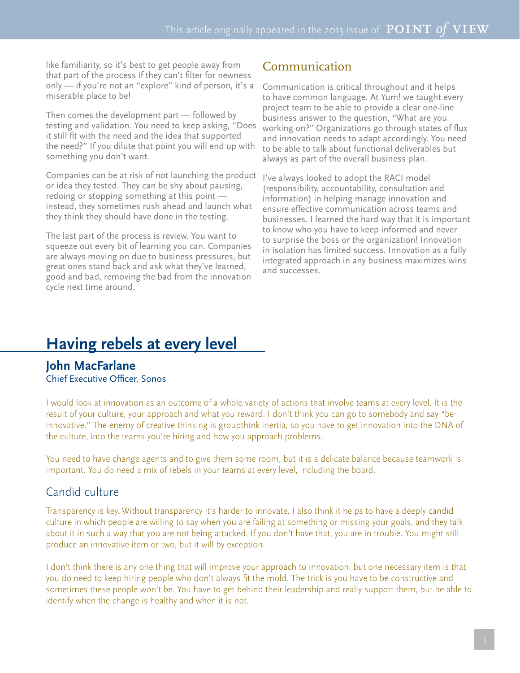like familiarity, so it's best to get people away from that part of the process if they can't filter for newness only — if you're not an "explore" kind of person, it's a miserable place to be!

Then comes the development part — followed by testing and validation. You need to keep asking, "Does it still fit with the need and the idea that supported the need?" If you dilute that point you will end up with something you don't want.

Companies can be at risk of not launching the product or idea they tested. They can be shy about pausing, redoing or stopping something at this point instead, they sometimes rush ahead and launch what they think they should have done in the testing.

The last part of the process is review. You want to squeeze out every bit of learning you can. Companies are always moving on due to business pressures, but great ones stand back and ask what they've learned, good and bad, removing the bad from the innovation cycle next time around.

#### Communication

Communication is critical throughout and it helps to have common language. At Yum! we taught every project team to be able to provide a clear one-line business answer to the question, "What are you working on?" Organizations go through states of flux and innovation needs to adapt accordingly. You need to be able to talk about functional deliverables but always as part of the overall business plan.

I've always looked to adopt the RACI model (responsibility, accountability, consultation and information) in helping manage innovation and ensure effective communication across teams and businesses. I learned the hard way that it is important to know who you have to keep informed and never to surprise the boss or the organization! Innovation in isolation has limited success. Innovation as a fully integrated approach in any business maximizes wins and successes.

# **Having rebels at every level**

**John MacFarlane** Chief Executive Officer, Sonos

I would look at innovation as an outcome of a whole variety of actions that involve teams at every level. It is the result of your culture, your approach and what you reward. I don't think you can go to somebody and say "be innovative." The enemy of creative thinking is groupthink inertia, so you have to get innovation into the DNA of the culture, into the teams you're hiring and how you approach problems.

You need to have change agents and to give them some room, but it is a delicate balance because teamwork is important. You do need a mix of rebels in your teams at every level, including the board.

#### Candid culture

Transparency is key. Without transparency it's harder to innovate. I also think it helps to have a deeply candid culture in which people are willing to say when you are failing at something or missing your goals, and they talk about it in such a way that you are not being attacked. If you don't have that, you are in trouble. You might still produce an innovative item or two, but it will by exception.

I don't think there is any one thing that will improve your approach to innovation, but one necessary item is that you do need to keep hiring people who don't always fit the mold. The trick is you have to be constructive and sometimes these people won't be. You have to get behind their leadership and really support them, but be able to identify when the change is healthy and when it is not.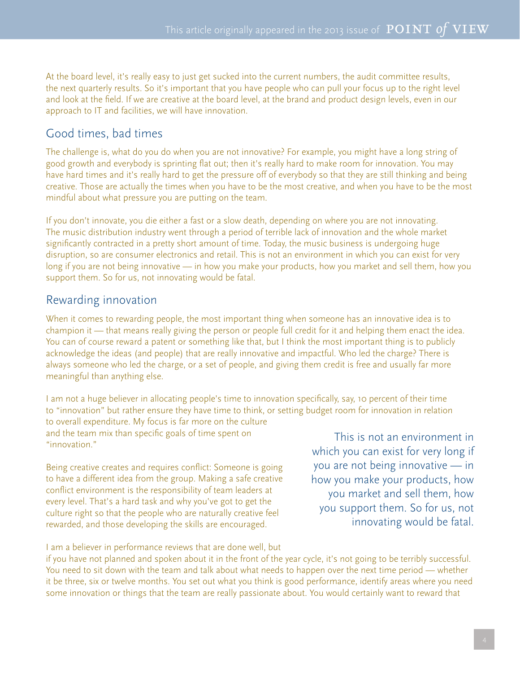At the board level, it's really easy to just get sucked into the current numbers, the audit committee results, the next quarterly results. So it's important that you have people who can pull your focus up to the right level and look at the field. If we are creative at the board level, at the brand and product design levels, even in our approach to IT and facilities, we will have innovation.

#### Good times, bad times

The challenge is, what do you do when you are not innovative? For example, you might have a long string of good growth and everybody is sprinting flat out; then it's really hard to make room for innovation. You may have hard times and it's really hard to get the pressure off of everybody so that they are still thinking and being creative. Those are actually the times when you have to be the most creative, and when you have to be the most mindful about what pressure you are putting on the team.

If you don't innovate, you die either a fast or a slow death, depending on where you are not innovating. The music distribution industry went through a period of terrible lack of innovation and the whole market significantly contracted in a pretty short amount of time. Today, the music business is undergoing huge disruption, so are consumer electronics and retail. This is not an environment in which you can exist for very long if you are not being innovative — in how you make your products, how you market and sell them, how you support them. So for us, not innovating would be fatal.

#### Rewarding innovation

When it comes to rewarding people, the most important thing when someone has an innovative idea is to champion it — that means really giving the person or people full credit for it and helping them enact the idea. You can of course reward a patent or something like that, but I think the most important thing is to publicly acknowledge the ideas (and people) that are really innovative and impactful. Who led the charge? There is always someone who led the charge, or a set of people, and giving them credit is free and usually far more meaningful than anything else.

I am not a huge believer in allocating people's time to innovation specifically, say, 10 percent of their time to "innovation" but rather ensure they have time to think, or setting budget room for innovation in relation to overall expenditure. My focus is far more on the culture and the team mix than specific goals of time spent on "innovation."

Being creative creates and requires conflict: Someone is going to have a different idea from the group. Making a safe creative conflict environment is the responsibility of team leaders at every level. That's a hard task and why you've got to get the culture right so that the people who are naturally creative feel rewarded, and those developing the skills are encouraged.

This is not an environment in which you can exist for very long if you are not being innovative — in how you make your products, how you market and sell them, how you support them. So for us, not innovating would be fatal.

I am a believer in performance reviews that are done well, but

if you have not planned and spoken about it in the front of the year cycle, it's not going to be terribly successful. You need to sit down with the team and talk about what needs to happen over the next time period — whether it be three, six or twelve months. You set out what you think is good performance, identify areas where you need some innovation or things that the team are really passionate about. You would certainly want to reward that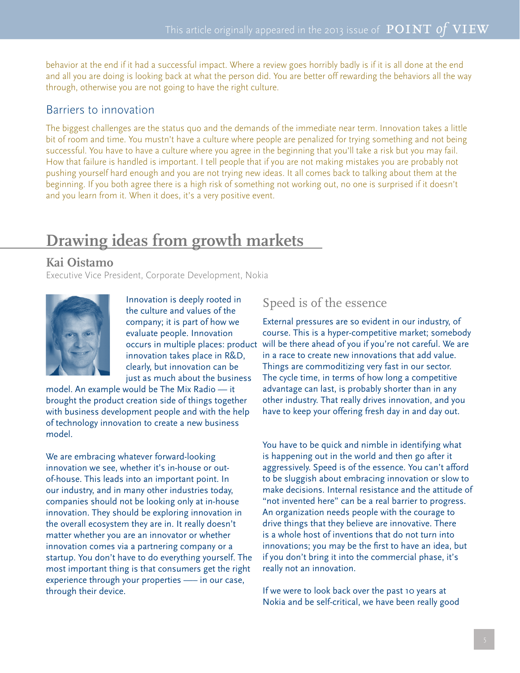behavior at the end if it had a successful impact. Where a review goes horribly badly is if it is all done at the end and all you are doing is looking back at what the person did. You are better off rewarding the behaviors all the way through, otherwise you are not going to have the right culture.

#### Barriers to innovation

The biggest challenges are the status quo and the demands of the immediate near term. Innovation takes a little bit of room and time. You mustn't have a culture where people are penalized for trying something and not being successful. You have to have a culture where you agree in the beginning that you'll take a risk but you may fail. How that failure is handled is important. I tell people that if you are not making mistakes you are probably not pushing yourself hard enough and you are not trying new ideas. It all comes back to talking about them at the beginning. If you both agree there is a high risk of something not working out, no one is surprised if it doesn't and you learn from it. When it does, it's a very positive event.

# **Drawing ideas from growth markets**

#### **Kai Oistamo**

Executive Vice President, Corporate Development, Nokia



Innovation is deeply rooted in the culture and values of the company; it is part of how we evaluate people. Innovation occurs in multiple places: product innovation takes place in R&D, clearly, but innovation can be just as much about the business

model. An example would be The Mix Radio — it brought the product creation side of things together with business development people and with the help of technology innovation to create a new business model.

We are embracing whatever forward-looking innovation we see, whether it's in-house or outof-house. This leads into an important point. In our industry, and in many other industries today, companies should not be looking only at in-house innovation. They should be exploring innovation in the overall ecosystem they are in. It really doesn't matter whether you are an innovator or whether innovation comes via a partnering company or a startup. You don't have to do everything yourself. The most important thing is that consumers get the right experience through your properties —– in our case, through their device.

#### Speed is of the essence

External pressures are so evident in our industry, of course. This is a hyper-competitive market; somebody will be there ahead of you if you're not careful. We are in a race to create new innovations that add value. Things are commoditizing very fast in our sector. The cycle time, in terms of how long a competitive advantage can last, is probably shorter than in any other industry. That really drives innovation, and you have to keep your offering fresh day in and day out.

You have to be quick and nimble in identifying what is happening out in the world and then go after it aggressively. Speed is of the essence. You can't afford to be sluggish about embracing innovation or slow to make decisions. Internal resistance and the attitude of "not invented here" can be a real barrier to progress. An organization needs people with the courage to drive things that they believe are innovative. There is a whole host of inventions that do not turn into innovations; you may be the first to have an idea, but if you don't bring it into the commercial phase, it's really not an innovation.

If we were to look back over the past 10 years at Nokia and be self-critical, we have been really good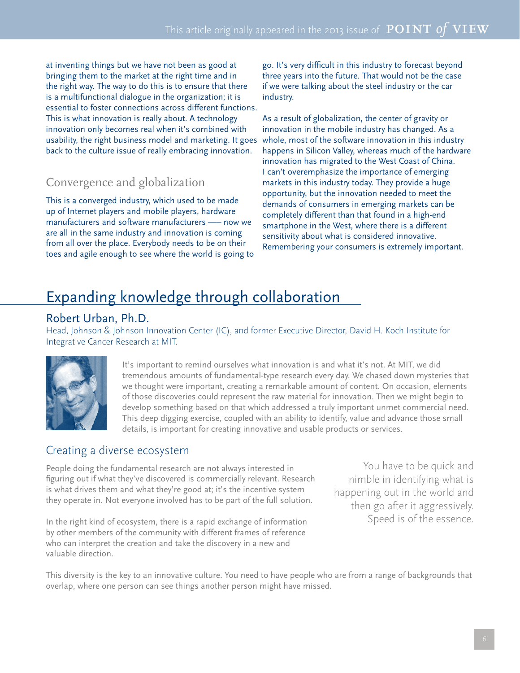at inventing things but we have not been as good at bringing them to the market at the right time and in the right way. The way to do this is to ensure that there is a multifunctional dialogue in the organization; it is essential to foster connections across different functions. This is what innovation is really about. A technology innovation only becomes real when it's combined with usability, the right business model and marketing. It goes back to the culture issue of really embracing innovation.

#### Convergence and globalization

This is a converged industry, which used to be made up of Internet players and mobile players, hardware manufacturers and software manufacturers —– now we are all in the same industry and innovation is coming from all over the place. Everybody needs to be on their toes and agile enough to see where the world is going to

go. It's very difficult in this industry to forecast beyond three years into the future. That would not be the case if we were talking about the steel industry or the car industry.

As a result of globalization, the center of gravity or innovation in the mobile industry has changed. As a whole, most of the software innovation in this industry happens in Silicon Valley, whereas much of the hardware innovation has migrated to the West Coast of China. I can't overemphasize the importance of emerging markets in this industry today. They provide a huge opportunity, but the innovation needed to meet the demands of consumers in emerging markets can be completely different than that found in a high-end smartphone in the West, where there is a different sensitivity about what is considered innovative. Remembering your consumers is extremely important.

## Expanding knowledge through collaboration

#### Robert Urban, Ph.D.

Head, Johnson & Johnson Innovation Center (IC), and former Executive Director, David H. Koch Institute for Integrative Cancer Research at MIT.



It's important to remind ourselves what innovation is and what it's not. At MIT, we did tremendous amounts of fundamental-type research every day. We chased down mysteries that we thought were important, creating a remarkable amount of content. On occasion, elements of those discoveries could represent the raw material for innovation. Then we might begin to develop something based on that which addressed a truly important unmet commercial need. This deep digging exercise, coupled with an ability to identify, value and advance those small details, is important for creating innovative and usable products or services.

#### Creating a diverse ecosystem

People doing the fundamental research are not always interested in figuring out if what they've discovered is commercially relevant. Research is what drives them and what they're good at; it's the incentive system they operate in. Not everyone involved has to be part of the full solution.

In the right kind of ecosystem, there is a rapid exchange of information by other members of the community with different frames of reference who can interpret the creation and take the discovery in a new and valuable direction.

You have to be quick and nimble in identifying what is happening out in the world and then go after it aggressively. Speed is of the essence.

This diversity is the key to an innovative culture. You need to have people who are from a range of backgrounds that overlap, where one person can see things another person might have missed.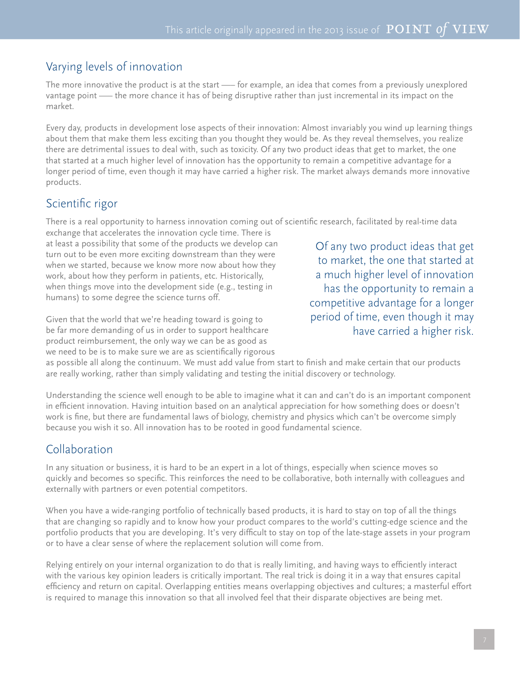#### Varying levels of innovation

The more innovative the product is at the start —– for example, an idea that comes from a previously unexplored vantage point —– the more chance it has of being disruptive rather than just incremental in its impact on the market.

Every day, products in development lose aspects of their innovation: Almost invariably you wind up learning things about them that make them less exciting than you thought they would be. As they reveal themselves, you realize there are detrimental issues to deal with, such as toxicity. Of any two product ideas that get to market, the one that started at a much higher level of innovation has the opportunity to remain a competitive advantage for a longer period of time, even though it may have carried a higher risk. The market always demands more innovative products.

#### Scientific rigor

There is a real opportunity to harness innovation coming out of scientific research, facilitated by real-time data

exchange that accelerates the innovation cycle time. There is at least a possibility that some of the products we develop can turn out to be even more exciting downstream than they were when we started, because we know more now about how they work, about how they perform in patients, etc. Historically, when things move into the development side (e.g., testing in humans) to some degree the science turns off.

Given that the world that we're heading toward is going to be far more demanding of us in order to support healthcare product reimbursement, the only way we can be as good as we need to be is to make sure we are as scientifically rigorous

Of any two product ideas that get to market, the one that started at a much higher level of innovation has the opportunity to remain a competitive advantage for a longer period of time, even though it may have carried a higher risk.

as possible all along the continuum. We must add value from start to finish and make certain that our products are really working, rather than simply validating and testing the initial discovery or technology.

Understanding the science well enough to be able to imagine what it can and can't do is an important component in efficient innovation. Having intuition based on an analytical appreciation for how something does or doesn't work is fine, but there are fundamental laws of biology, chemistry and physics which can't be overcome simply because you wish it so. All innovation has to be rooted in good fundamental science.

#### Collaboration

In any situation or business, it is hard to be an expert in a lot of things, especially when science moves so quickly and becomes so specific. This reinforces the need to be collaborative, both internally with colleagues and externally with partners or even potential competitors.

When you have a wide-ranging portfolio of technically based products, it is hard to stay on top of all the things that are changing so rapidly and to know how your product compares to the world's cutting-edge science and the portfolio products that you are developing. It's very difficult to stay on top of the late-stage assets in your program or to have a clear sense of where the replacement solution will come from.

Relying entirely on your internal organization to do that is really limiting, and having ways to efficiently interact with the various key opinion leaders is critically important. The real trick is doing it in a way that ensures capital efficiency and return on capital. Overlapping entities means overlapping objectives and cultures; a masterful effort is required to manage this innovation so that all involved feel that their disparate objectives are being met.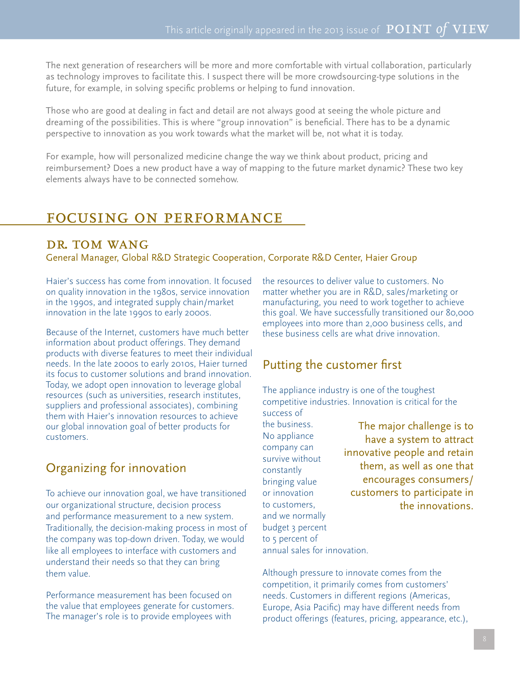The next generation of researchers will be more and more comfortable with virtual collaboration, particularly as technology improves to facilitate this. I suspect there will be more crowdsourcing-type solutions in the future, for example, in solving specific problems or helping to fund innovation.

Those who are good at dealing in fact and detail are not always good at seeing the whole picture and dreaming of the possibilities. This is where "group innovation" is beneficial. There has to be a dynamic perspective to innovation as you work towards what the market will be, not what it is today.

For example, how will personalized medicine change the way we think about product, pricing and reimbursement? Does a new product have a way of mapping to the future market dynamic? These two key elements always have to be connected somehow.

#### focusing on performance

#### DR. TOM WANG

General Manager, Global R&D Strategic Cooperation, Corporate R&D Center, Haier Group

Haier's success has come from innovation. It focused on quality innovation in the 1980s, service innovation in the 1990s, and integrated supply chain/market innovation in the late 1990s to early 2000s.

Because of the Internet, customers have much better information about product offerings. They demand products with diverse features to meet their individual needs. In the late 2000s to early 2010s, Haier turned its focus to customer solutions and brand innovation. Today, we adopt open innovation to leverage global resources (such as universities, research institutes, suppliers and professional associates), combining them with Haier's innovation resources to achieve our global innovation goal of better products for customers.

#### Organizing for innovation

To achieve our innovation goal, we have transitioned our organizational structure, decision process and performance measurement to a new system. Traditionally, the decision-making process in most of the company was top-down driven. Today, we would like all employees to interface with customers and understand their needs so that they can bring them value.

Performance measurement has been focused on the value that employees generate for customers. The manager's role is to provide employees with

the resources to deliver value to customers. No matter whether you are in R&D, sales/marketing or manufacturing, you need to work together to achieve this goal. We have successfully transitioned our 80,000 employees into more than 2,000 business cells, and these business cells are what drive innovation.

#### Putting the customer first

The appliance industry is one of the toughest competitive industries. Innovation is critical for the success of

the business. No appliance company can survive without constantly bringing value or innovation to customers, and we normally budget 3 percent to 5 percent of annual sales for innovation.

The major challenge is to have a system to attract innovative people and retain them, as well as one that encourages consumers/ customers to participate in the innovations.

Although pressure to innovate comes from the competition, it primarily comes from customers' needs. Customers in different regions (Americas, Europe, Asia Pacific) may have different needs from product offerings (features, pricing, appearance, etc.),